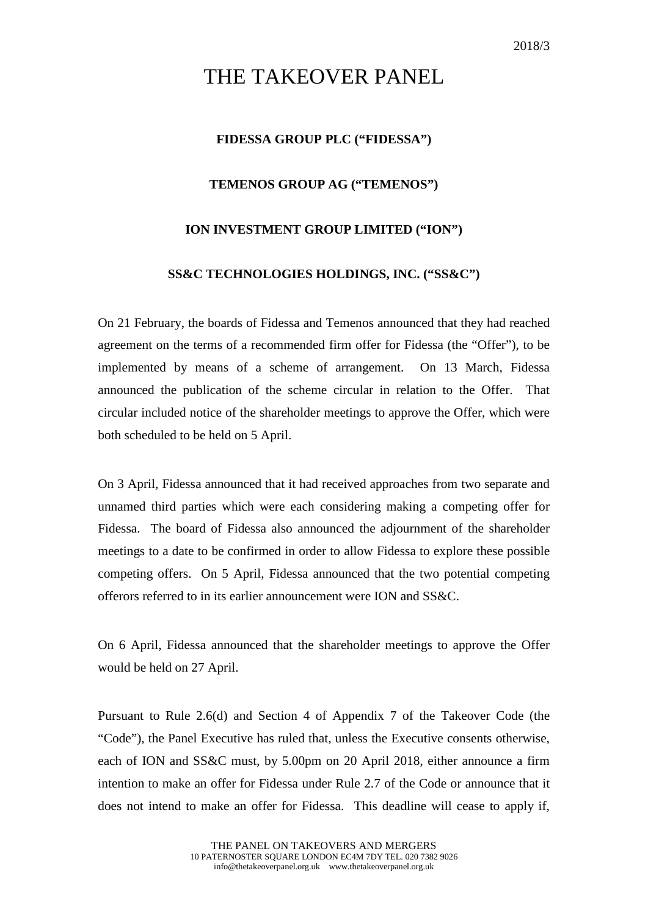# THE TAKEOVER PANEL

# **FIDESSA GROUP PLC ("FIDESSA")**

## **TEMENOS GROUP AG ("TEMENOS")**

## **ION INVESTMENT GROUP LIMITED ("ION")**

## **SS&C TECHNOLOGIES HOLDINGS, INC. ("SS&C")**

On 21 February, the boards of Fidessa and Temenos announced that they had reached agreement on the terms of a recommended firm offer for Fidessa (the "Offer"), to be implemented by means of a scheme of arrangement. On 13 March, Fidessa announced the publication of the scheme circular in relation to the Offer. That circular included notice of the shareholder meetings to approve the Offer, which were both scheduled to be held on 5 April.

On 3 April, Fidessa announced that it had received approaches from two separate and unnamed third parties which were each considering making a competing offer for Fidessa. The board of Fidessa also announced the adjournment of the shareholder meetings to a date to be confirmed in order to allow Fidessa to explore these possible competing offers. On 5 April, Fidessa announced that the two potential competing offerors referred to in its earlier announcement were ION and SS&C.

On 6 April, Fidessa announced that the shareholder meetings to approve the Offer would be held on 27 April.

Pursuant to Rule 2.6(d) and Section 4 of Appendix 7 of the Takeover Code (the "Code"), the Panel Executive has ruled that, unless the Executive consents otherwise, each of ION and SS&C must, by 5.00pm on 20 April 2018, either announce a firm intention to make an offer for Fidessa under Rule 2.7 of the Code or announce that it does not intend to make an offer for Fidessa. This deadline will cease to apply if,